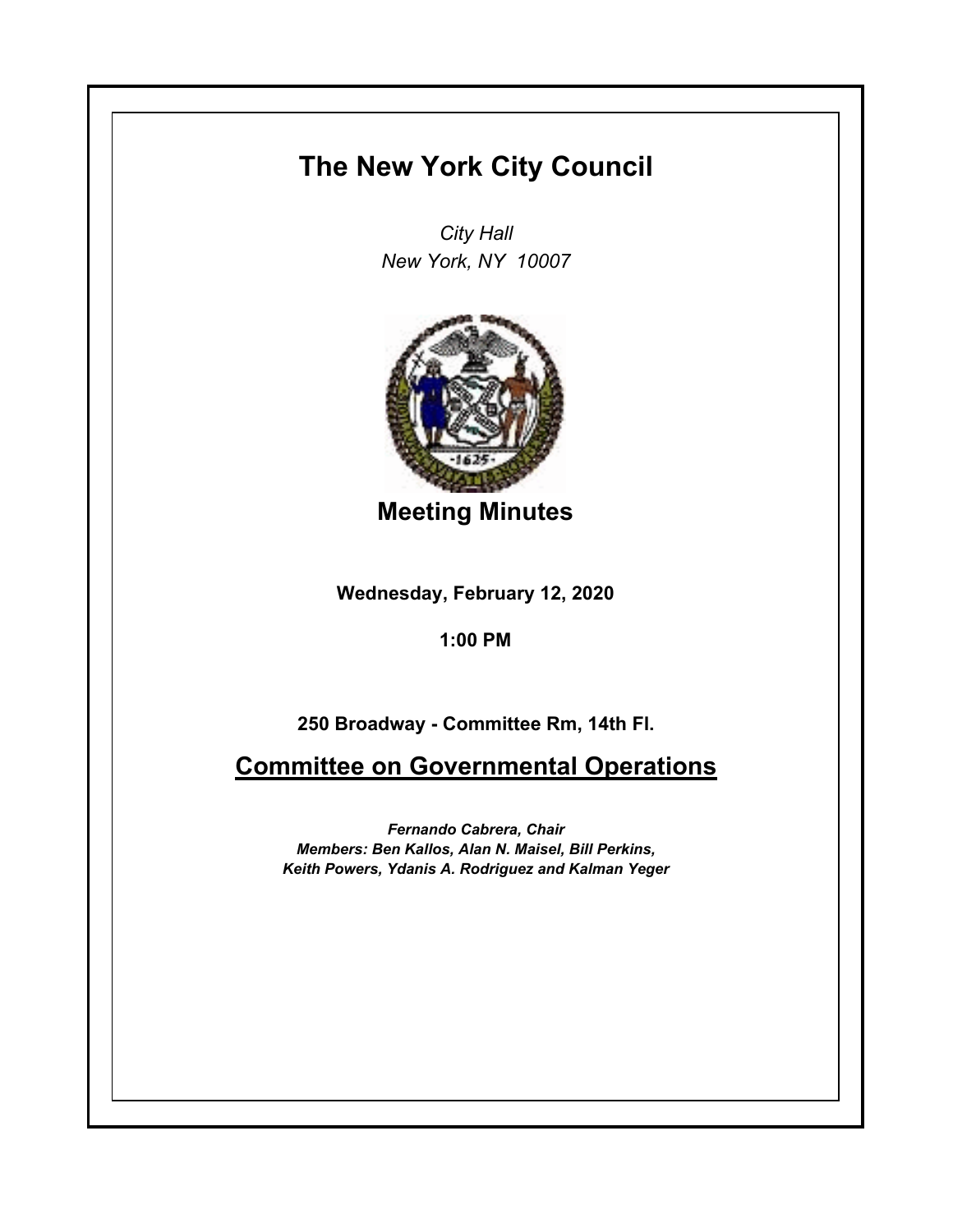## **The New York City Council**

*City Hall New York, NY 10007*



**Meeting Minutes**

**Wednesday, February 12, 2020**

**1:00 PM**

**250 Broadway - Committee Rm, 14th Fl.**

**Committee on Governmental Operations**

*Fernando Cabrera, Chair Members: Ben Kallos, Alan N. Maisel, Bill Perkins, Keith Powers, Ydanis A. Rodriguez and Kalman Yeger*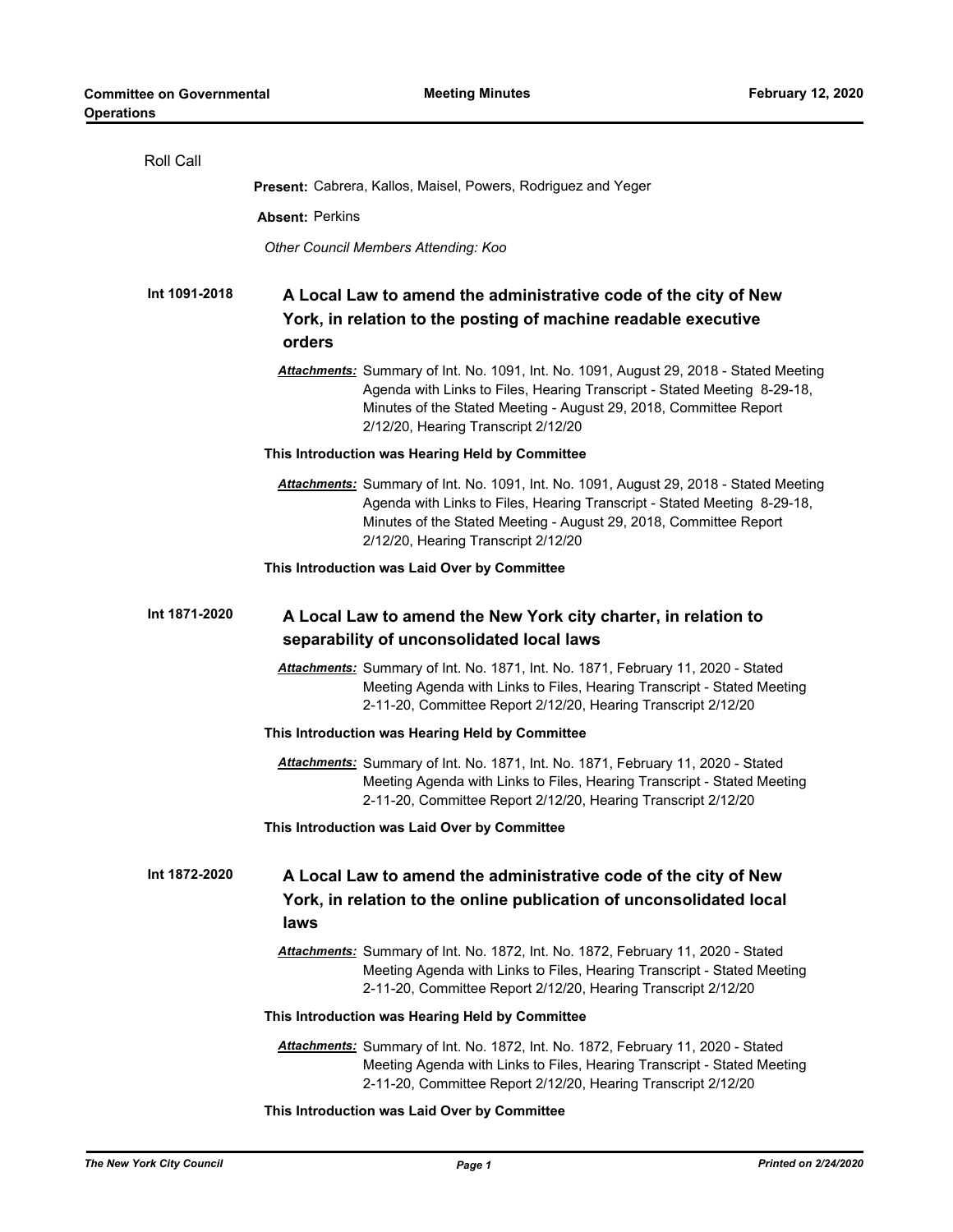| Roll Call     |                                                                                                                                                                                                                                                                                |
|---------------|--------------------------------------------------------------------------------------------------------------------------------------------------------------------------------------------------------------------------------------------------------------------------------|
|               | <b>Present:</b> Cabrera, Kallos, Maisel, Powers, Rodriguez and Yeger                                                                                                                                                                                                           |
|               | <b>Absent: Perkins</b>                                                                                                                                                                                                                                                         |
|               | <b>Other Council Members Attending: Koo</b>                                                                                                                                                                                                                                    |
| Int 1091-2018 | A Local Law to amend the administrative code of the city of New<br>York, in relation to the posting of machine readable executive<br>orders                                                                                                                                    |
|               | Attachments: Summary of Int. No. 1091, Int. No. 1091, August 29, 2018 - Stated Meeting<br>Agenda with Links to Files, Hearing Transcript - Stated Meeting 8-29-18,<br>Minutes of the Stated Meeting - August 29, 2018, Committee Report<br>2/12/20, Hearing Transcript 2/12/20 |
|               | This Introduction was Hearing Held by Committee                                                                                                                                                                                                                                |
|               | Attachments: Summary of Int. No. 1091, Int. No. 1091, August 29, 2018 - Stated Meeting<br>Agenda with Links to Files, Hearing Transcript - Stated Meeting 8-29-18,<br>Minutes of the Stated Meeting - August 29, 2018, Committee Report<br>2/12/20, Hearing Transcript 2/12/20 |
|               | This Introduction was Laid Over by Committee                                                                                                                                                                                                                                   |
| Int 1871-2020 | A Local Law to amend the New York city charter, in relation to<br>separability of unconsolidated local laws                                                                                                                                                                    |
|               | Attachments: Summary of Int. No. 1871, Int. No. 1871, February 11, 2020 - Stated<br>Meeting Agenda with Links to Files, Hearing Transcript - Stated Meeting<br>2-11-20, Committee Report 2/12/20, Hearing Transcript 2/12/20                                                   |
|               | This Introduction was Hearing Held by Committee                                                                                                                                                                                                                                |
|               | Attachments: Summary of Int. No. 1871, Int. No. 1871, February 11, 2020 - Stated<br>Meeting Agenda with Links to Files, Hearing Transcript - Stated Meeting<br>2-11-20, Committee Report 2/12/20, Hearing Transcript 2/12/20                                                   |
|               | This Introduction was Laid Over by Committee                                                                                                                                                                                                                                   |
| Int 1872-2020 | A Local Law to amend the administrative code of the city of New<br>York, in relation to the online publication of unconsolidated local<br>laws                                                                                                                                 |
|               | Attachments: Summary of Int. No. 1872, Int. No. 1872, February 11, 2020 - Stated<br>Meeting Agenda with Links to Files, Hearing Transcript - Stated Meeting<br>2-11-20, Committee Report 2/12/20, Hearing Transcript 2/12/20                                                   |
|               | This Introduction was Hearing Held by Committee                                                                                                                                                                                                                                |
|               | Attachments: Summary of Int. No. 1872, Int. No. 1872, February 11, 2020 - Stated<br>Meeting Agenda with Links to Files, Hearing Transcript - Stated Meeting<br>2-11-20, Committee Report 2/12/20, Hearing Transcript 2/12/20                                                   |
|               |                                                                                                                                                                                                                                                                                |

## **This Introduction was Laid Over by Committee**